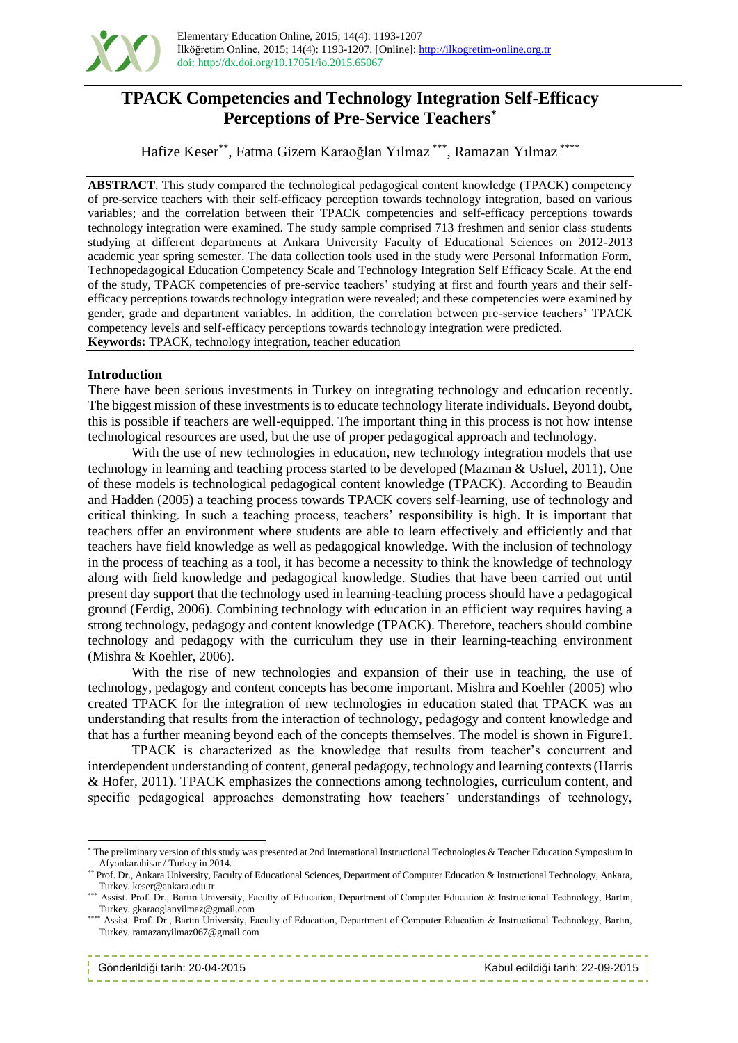

## **TPACK Competencies and Technology Integration Self-Efficacy Perceptions of Pre-Service Teachers\***

Hafize Keser\*\*, Fatma Gizem Karaoğlan Yılmaz \*\*\*, Ramazan Yılmaz \*\*\*\*

**ABSTRACT**. This study compared the technological pedagogical content knowledge (TPACK) competency of pre-service teachers with their self-efficacy perception towards technology integration, based on various variables; and the correlation between their TPACK competencies and self-efficacy perceptions towards technology integration were examined. The study sample comprised 713 freshmen and senior class students studying at different departments at Ankara University Faculty of Educational Sciences on 2012-2013 academic year spring semester. The data collection tools used in the study were Personal Information Form, Technopedagogical Education Competency Scale and Technology Integration Self Efficacy Scale. At the end of the study, TPACK competencies of pre-service teachers' studying at first and fourth years and their selfefficacy perceptions towards technology integration were revealed; and these competencies were examined by gender, grade and department variables. In addition, the correlation between pre-service teachers' TPACK competency levels and self-efficacy perceptions towards technology integration were predicted. **Keywords:** TPACK, technology integration, teacher education

### **Introduction**

There have been serious investments in Turkey on integrating technology and education recently. The biggest mission of these investments is to educate technology literate individuals. Beyond doubt, this is possible if teachers are well-equipped. The important thing in this process is not how intense technological resources are used, but the use of proper pedagogical approach and technology.

With the use of new technologies in education, new technology integration models that use technology in learning and teaching process started to be developed (Mazman & Usluel, 2011). One of these models is technological pedagogical content knowledge (TPACK). According to Beaudin and Hadden (2005) a teaching process towards TPACK covers self-learning, use of technology and critical thinking. In such a teaching process, teachers' responsibility is high. It is important that teachers offer an environment where students are able to learn effectively and efficiently and that teachers have field knowledge as well as pedagogical knowledge. With the inclusion of technology in the process of teaching as a tool, it has become a necessity to think the knowledge of technology along with field knowledge and pedagogical knowledge. Studies that have been carried out until present day support that the technology used in learning-teaching process should have a pedagogical ground (Ferdig, 2006). Combining technology with education in an efficient way requires having a strong technology, pedagogy and content knowledge (TPACK). Therefore, teachers should combine technology and pedagogy with the curriculum they use in their learning-teaching environment (Mishra & Koehler, 2006).

With the rise of new technologies and expansion of their use in teaching, the use of technology, pedagogy and content concepts has become important. Mishra and Koehler (2005) who created TPACK for the integration of new technologies in education stated that TPACK was an understanding that results from the interaction of technology, pedagogy and content knowledge and that has a further meaning beyond each of the concepts themselves. The model is shown in Figure1.

TPACK is characterized as the knowledge that results from teacher's concurrent and interdependent understanding of content, general pedagogy, technology and learning contexts (Harris & Hofer, 2011). TPACK emphasizes the connections among technologies, curriculum content, and specific pedagogical approaches demonstrating how teachers' understandings of technology,

<sup>\*\*\*\*</sup> Assist. Prof. Dr., Bartın University, Faculty of Education, Department of Computer Education & Instructional Technology, Bartın, Turkey. ramazanyilmaz067@gmail.com

| Gönderildiği tarih: 20-04-2015 |  |  |  |  |  |  |  |  |  |  |
|--------------------------------|--|--|--|--|--|--|--|--|--|--|

l

<sup>\*</sup> The preliminary version of this study was presented at 2nd International Instructional Technologies & Teacher Education Symposium in Afyonkarahisar / Turkey in 2014.

<sup>\*\*</sup> Prof. Dr., Ankara University, Faculty of Educational Sciences, Department of Computer Education & Instructional Technology, Ankara, Turkey. keser@ankara.edu.tr

<sup>\*\*\*</sup> Assist. Prof. Dr., Bartın University, Faculty of Education, Department of Computer Education & Instructional Technology, Bartın, Turkey. gkaraoglanyilmaz@gmail.com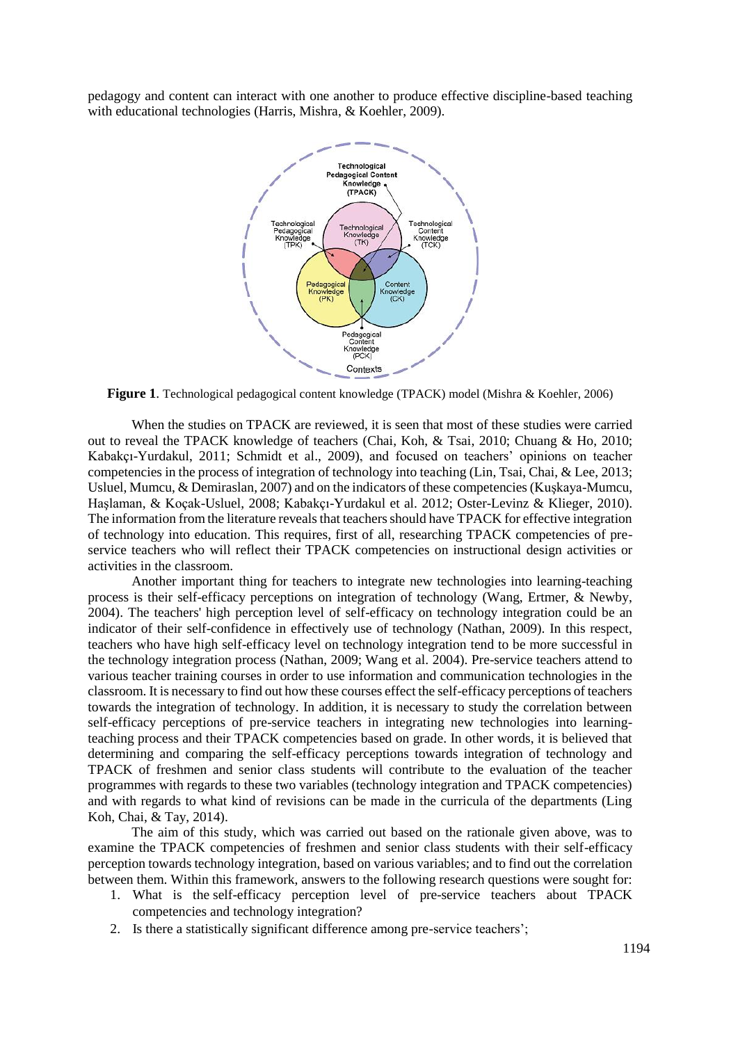pedagogy and content can interact with one another to produce effective discipline-based teaching with educational technologies (Harris, Mishra, & Koehler, 2009).



**Figure 1**. Technological pedagogical content knowledge (TPACK) model (Mishra & Koehler, 2006)

When the studies on TPACK are reviewed, it is seen that most of these studies were carried out to reveal the TPACK knowledge of teachers (Chai, Koh, & Tsai, 2010; Chuang & Ho, 2010; Kabakçı-Yurdakul, 2011; Schmidt et al., 2009), and focused on teachers' opinions on teacher competencies in the process of integration of technology into teaching (Lin, Tsai, Chai, & Lee, 2013; Usluel, Mumcu, & Demiraslan, 2007) and on the indicators of these competencies (Kuşkaya-Mumcu, Haşlaman, & Koçak-Usluel, 2008; Kabakçı-Yurdakul et al. 2012; Oster-Levinz & Klieger, 2010). The information from the literature reveals that teachers should have TPACK for effective integration of technology into education. This requires, first of all, researching TPACK competencies of preservice teachers who will reflect their TPACK competencies on instructional design activities or activities in the classroom.

Another important thing for teachers to integrate new technologies into learning-teaching process is their self-efficacy perceptions on integration of technology (Wang, Ertmer, & Newby, 2004). The teachers' high perception level of self-efficacy on technology integration could be an indicator of their self-confidence in effectively use of technology (Nathan, 2009). In this respect, teachers who have high self-efficacy level on technology integration tend to be more successful in the technology integration process (Nathan, 2009; Wang et al. 2004). Pre-service teachers attend to various teacher training courses in order to use information and communication technologies in the classroom. It is necessary to find out how these courses effect the self-efficacy perceptions of teachers towards the integration of technology. In addition, it is necessary to study the correlation between self-efficacy perceptions of pre-service teachers in integrating new technologies into learningteaching process and their TPACK competencies based on grade. In other words, it is believed that determining and comparing the self-efficacy perceptions towards integration of technology and TPACK of freshmen and senior class students will contribute to the evaluation of the teacher programmes with regards to these two variables (technology integration and TPACK competencies) and with regards to what kind of revisions can be made in the curricula of the departments (Ling Koh, Chai, & Tay, 2014).

The aim of this study, which was carried out based on the rationale given above, was to examine the TPACK competencies of freshmen and senior class students with their self-efficacy perception towards technology integration, based on various variables; and to find out the correlation between them. Within this framework, answers to the following research questions were sought for:

- 1. What is the self-efficacy perception level of pre-service teachers about TPACK competencies and technology integration?
- 2. Is there a statistically significant difference among pre-service teachers';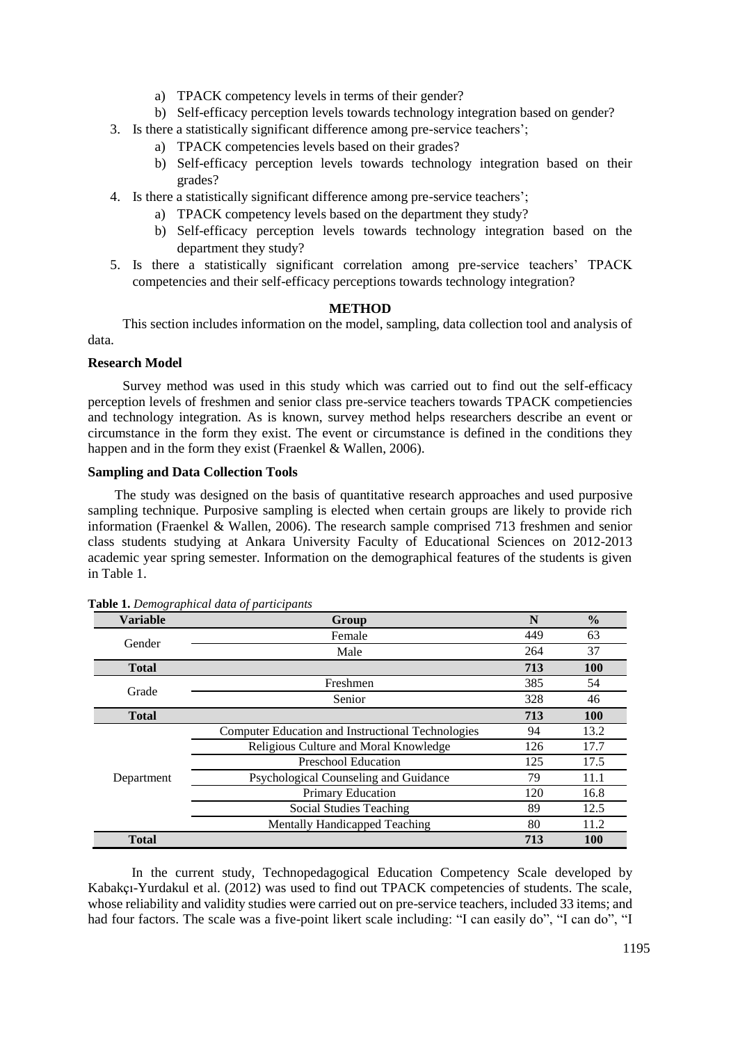- a) TPACK competency levels in terms of their gender?
- b) Self-efficacy perception levels towards technology integration based on gender?
- 3. Is there a statistically significant difference among pre-service teachers';
	- a) TPACK competencies levels based on their grades?
	- b) Self-efficacy perception levels towards technology integration based on their grades?
- 4. Is there a statistically significant difference among pre-service teachers';
	- a) TPACK competency levels based on the department they study?
	- b) Self-efficacy perception levels towards technology integration based on the department they study?
- 5. Is there a statistically significant correlation among pre-service teachers' TPACK competencies and their self-efficacy perceptions towards technology integration?

## **METHOD**

This section includes information on the model, sampling, data collection tool and analysis of data.

## **Research Model**

Survey method was used in this study which was carried out to find out the self-efficacy perception levels of freshmen and senior class pre-service teachers towards TPACK competiencies and technology integration. As is known, survey method helps researchers describe an event or circumstance in the form they exist. The event or circumstance is defined in the conditions they happen and in the form they exist (Fraenkel & Wallen, 2006).

## **Sampling and Data Collection Tools**

The study was designed on the basis of quantitative research approaches and used purposive sampling technique. Purposive sampling is elected when certain groups are likely to provide rich information (Fraenkel & Wallen, 2006). The research sample comprised 713 freshmen and senior class students studying at Ankara University Faculty of Educational Sciences on 2012-2013 academic year spring semester. Information on the demographical features of the students is given in Table 1.

| <b>Variable</b> | Group                                             | N   | $\frac{6}{9}$ |
|-----------------|---------------------------------------------------|-----|---------------|
| Gender          | Female                                            | 449 | 63            |
|                 | Male                                              | 264 | 37            |
| <b>Total</b>    |                                                   | 713 | <b>100</b>    |
|                 | Freshmen                                          | 385 | 54            |
| Grade           | Senior                                            | 328 | 46            |
| <b>Total</b>    |                                                   | 713 | <b>100</b>    |
|                 | Computer Education and Instructional Technologies | 94  | 13.2          |
|                 | Religious Culture and Moral Knowledge             | 126 | 17.7          |
|                 | <b>Preschool Education</b>                        | 125 | 17.5          |
| Department      | Psychological Counseling and Guidance             | 79  | 11.1          |
|                 | <b>Primary Education</b>                          | 120 | 16.8          |
|                 | Social Studies Teaching                           | 89  | 12.5          |
|                 | <b>Mentally Handicapped Teaching</b>              | 80  | 11.2          |
| <b>Total</b>    |                                                   | 713 | <b>100</b>    |

|  |  | Table 1. Demographical data of participants |
|--|--|---------------------------------------------|
|  |  |                                             |

In the current study, Technopedagogical Education Competency Scale developed by Kabakçı-Yurdakul et al. (2012) was used to find out TPACK competencies of students. The scale, whose reliability and validity studies were carried out on pre-service teachers, included 33 items; and had four factors. The scale was a five-point likert scale including: "I can easily do", "I can do", "I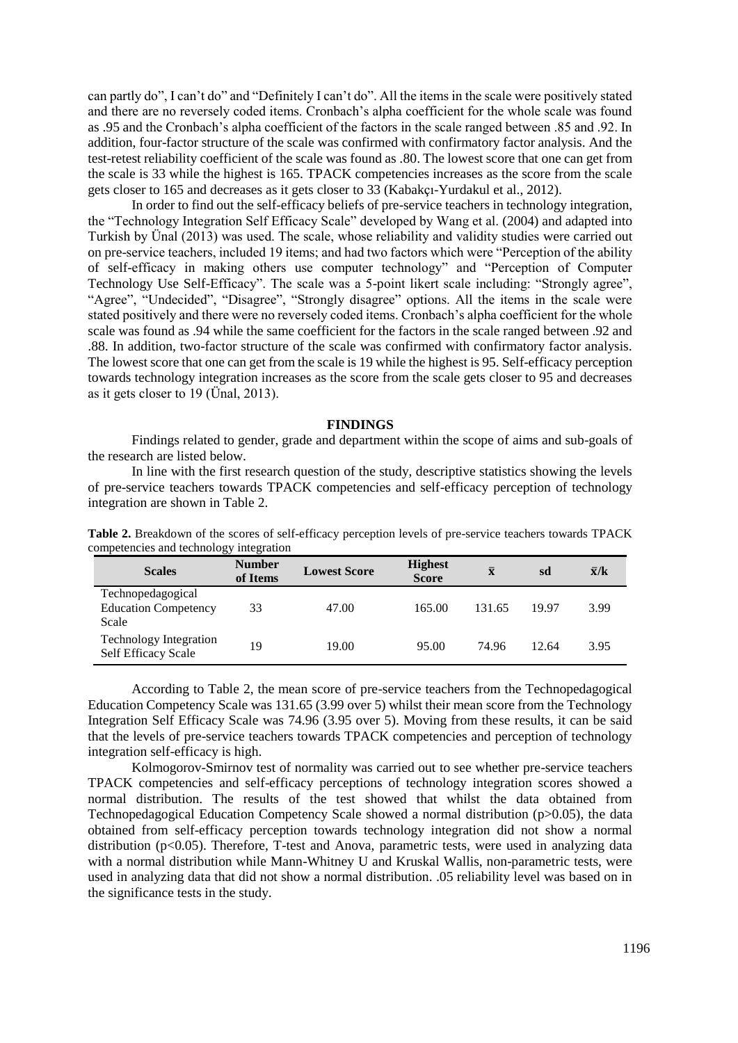can partly do", I can't do" and "Definitely I can't do". All the items in the scale were positively stated and there are no reversely coded items. Cronbach's alpha coefficient for the whole scale was found as .95 and the Cronbach's alpha coefficient of the factors in the scale ranged between .85 and .92. In addition, four-factor structure of the scale was confirmed with confirmatory factor analysis. And the test-retest reliability coefficient of the scale was found as .80. The lowest score that one can get from the scale is 33 while the highest is 165. TPACK competencies increases as the score from the scale gets closer to 165 and decreases as it gets closer to 33 (Kabakçı-Yurdakul et al., 2012).

In order to find out the self-efficacy beliefs of pre-service teachers in technology integration, the "Technology Integration Self Efficacy Scale" developed by Wang et al. (2004) and adapted into Turkish by Ünal (2013) was used. The scale, whose reliability and validity studies were carried out on pre-service teachers, included 19 items; and had two factors which were "Perception of the ability of self-efficacy in making others use computer technology" and "Perception of Computer Technology Use Self-Efficacy". The scale was a 5-point likert scale including: "Strongly agree", "Agree", "Undecided", "Disagree", "Strongly disagree" options. All the items in the scale were stated positively and there were no reversely coded items. Cronbach's alpha coefficient for the whole scale was found as .94 while the same coefficient for the factors in the scale ranged between .92 and .88. In addition, two-factor structure of the scale was confirmed with confirmatory factor analysis. The lowest score that one can get from the scale is 19 while the highest is 95. Self-efficacy perception towards technology integration increases as the score from the scale gets closer to 95 and decreases as it gets closer to 19 (Ünal, 2013).

#### **FINDINGS**

Findings related to gender, grade and department within the scope of aims and sub-goals of the research are listed below.

In line with the first research question of the study, descriptive statistics showing the levels of pre-service teachers towards TPACK competencies and self-efficacy perception of technology integration are shown in Table 2.

| <b>Scales</b>                                               | ິ<br><b>Number</b><br>of Items | <b>Lowest Score</b> | <b>Highest</b><br><b>Score</b> | $\bar{\mathbf{x}}$ | sd    | $\bar{x}/k$ |
|-------------------------------------------------------------|--------------------------------|---------------------|--------------------------------|--------------------|-------|-------------|
| Technopedagogical<br><b>Education Competency</b><br>Scale   | 33                             | 47.00               | 165.00                         | 131.65             | 19.97 | 3.99        |
| <b>Technology Integration</b><br><b>Self Efficacy Scale</b> | 19                             | 19.00               | 95.00                          | 74.96              | 12.64 | 3.95        |

**Table 2.** Breakdown of the scores of self-efficacy perception levels of pre-service teachers towards TPACK competencies and technology integration

According to Table 2, the mean score of pre-service teachers from the Technopedagogical Education Competency Scale was 131.65 (3.99 over 5) whilst their mean score from the Technology Integration Self Efficacy Scale was 74.96 (3.95 over 5). Moving from these results, it can be said that the levels of pre-service teachers towards TPACK competencies and perception of technology integration self-efficacy is high.

Kolmogorov-Smirnov test of normality was carried out to see whether pre-service teachers TPACK competencies and self-efficacy perceptions of technology integration scores showed a normal distribution. The results of the test showed that whilst the data obtained from Technopedagogical Education Competency Scale showed a normal distribution (p>0.05), the data obtained from self-efficacy perception towards technology integration did not show a normal distribution (p<0.05). Therefore, T-test and Anova, parametric tests, were used in analyzing data with a normal distribution while Mann-Whitney U and Kruskal Wallis, non-parametric tests, were used in analyzing data that did not show a normal distribution. .05 reliability level was based on in the significance tests in the study.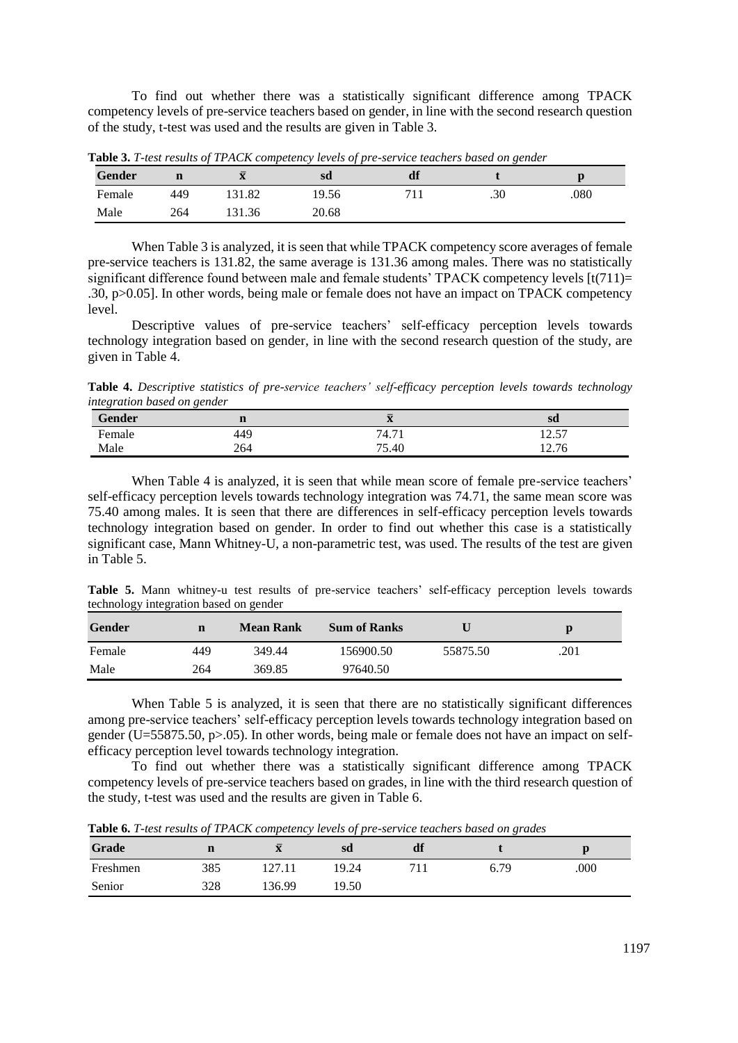To find out whether there was a statistically significant difference among TPACK competency levels of pre-service teachers based on gender, in line with the second research question of the study, t-test was used and the results are given in Table 3.

| Gender |     |        | <b>SC</b> |     |     |      |
|--------|-----|--------|-----------|-----|-----|------|
| Female | 449 | 31.82  | 19.56     | 711 | .30 | .080 |
| Male   | 264 | 131.36 | 20.68     |     |     |      |

**Table 3.** *T-test results of TPACK competency levels of pre-service teachers based on gender* 

When Table 3 is analyzed, it is seen that while TPACK competency score averages of female pre-service teachers is 131.82, the same average is 131.36 among males. There was no statistically significant difference found between male and female students' TPACK competency levels  $[t(711)=$ .30, p>0.05]. In other words, being male or female does not have an impact on TPACK competency level.

Descriptive values of pre-service teachers' self-efficacy perception levels towards technology integration based on gender, in line with the second research question of the study, are given in Table 4.

**Table 4.** *Descriptive statistics of pre-service teachers' self-efficacy perception levels towards technology integration based on gender*

| Gender                   |     | $=$<br>$\mathbf{A}$ | sd        |
|--------------------------|-----|---------------------|-----------|
| $\blacksquare$<br>Hemale | 449 | $  +$<br>74.7       | 257<br>ال |
| Male                     | 264 | コピ<br>5.40          | 12.76     |

When Table 4 is analyzed, it is seen that while mean score of female pre-service teachers' self-efficacy perception levels towards technology integration was 74.71, the same mean score was 75.40 among males. It is seen that there are differences in self-efficacy perception levels towards technology integration based on gender. In order to find out whether this case is a statistically significant case, Mann Whitney-U, a non-parametric test, was used. The results of the test are given in Table 5.

**Table 5.** Mann whitney-u test results of pre-service teachers' self-efficacy perception levels towards technology integration based on gender

| Gender | $\mathbf n$ | <b>Mean Rank</b> | <b>Sum of Ranks</b> |          | D    |
|--------|-------------|------------------|---------------------|----------|------|
| Female | 449         | 349.44           | 156900.50           | 55875.50 | .201 |
| Male   | 264         | 369.85           | 97640.50            |          |      |

When Table 5 is analyzed, it is seen that there are no statistically significant differences among pre-service teachers' self-efficacy perception levels towards technology integration based on gender (U=55875.50, p>.05). In other words, being male or female does not have an impact on selfefficacy perception level towards technology integration.

To find out whether there was a statistically significant difference among TPACK competency levels of pre-service teachers based on grades, in line with the third research question of the study, t-test was used and the results are given in Table 6.

**Table 6.** *T-test results of TPACK competency levels of pre-service teachers based on grades*

| Grade    |     | ᅲ<br>$\mathbf{A}$ | sd    | df |      |      |
|----------|-----|-------------------|-------|----|------|------|
| Freshmen | 385 | 7.11              | 19.24 |    | 6.79 | .000 |
| Senior   | 328 | 36.99             | 19.50 |    |      |      |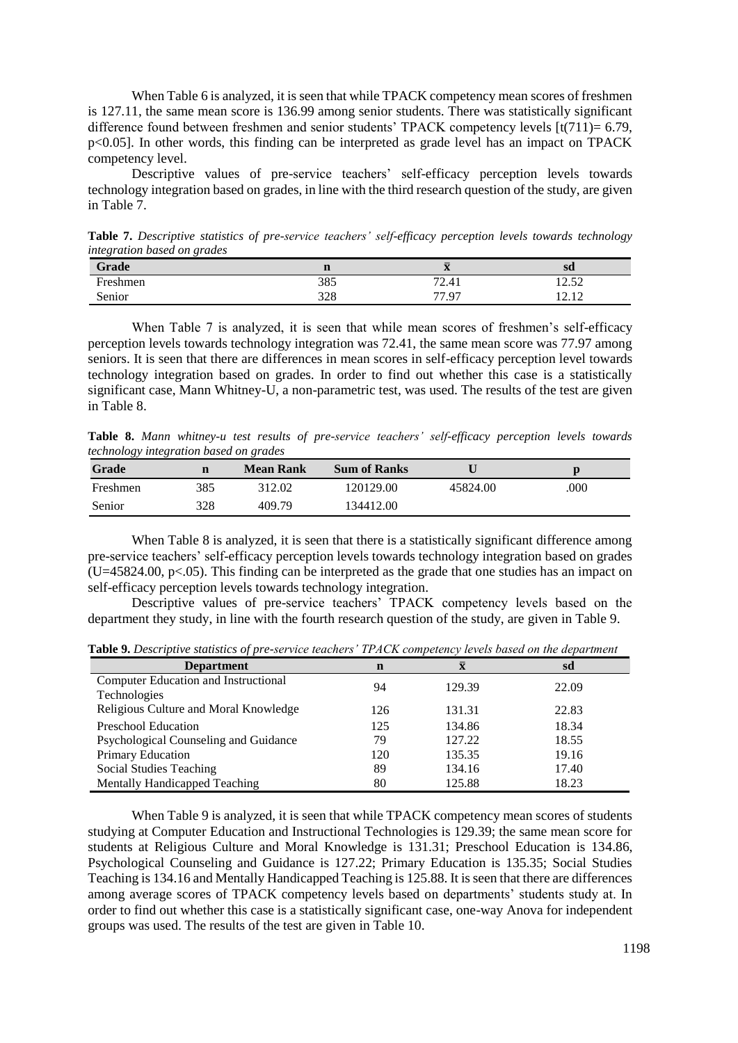When Table 6 is analyzed, it is seen that while TPACK competency mean scores of freshmen is 127.11, the same mean score is 136.99 among senior students. There was statistically significant difference found between freshmen and senior students' TPACK competency levels [t(711)= 6.79, p<0.05]. In other words, this finding can be interpreted as grade level has an impact on TPACK competency level.

Descriptive values of pre-service teachers' self-efficacy perception levels towards technology integration based on grades, in line with the third research question of the study, are given in Table 7.

**Table 7.** *Descriptive statistics of pre-service teachers' self-efficacy perception levels towards technology integration based on grades*

| Grade    |     | $\mathbf{A}$ | sd    |
|----------|-----|--------------|-------|
| Freshmen | 385 | 72.41        | 12.52 |
| Senior   | 328 | 77.97        |       |

When Table 7 is analyzed, it is seen that while mean scores of freshmen's self-efficacy perception levels towards technology integration was 72.41, the same mean score was 77.97 among seniors. It is seen that there are differences in mean scores in self-efficacy perception level towards technology integration based on grades. In order to find out whether this case is a statistically significant case, Mann Whitney-U, a non-parametric test, was used. The results of the test are given in Table 8.

**Table 8.** *Mann whitney-u test results of pre-service teachers' self-efficacy perception levels towards technology integration based on grades*

| <b>Grade</b> | $\mathbf n$ | <b>Mean Rank</b> | <b>Sum of Ranks</b> |          | D    |
|--------------|-------------|------------------|---------------------|----------|------|
| Freshmen     | 385         | 312.02           | 120129.00           | 45824.00 | .000 |
| Senior       | 328         | 409.79           | 134412.00           |          |      |

When Table 8 is analyzed, it is seen that there is a statistically significant difference among pre-service teachers' self-efficacy perception levels towards technology integration based on grades (U=45824.00, p<.05). This finding can be interpreted as the grade that one studies has an impact on self-efficacy perception levels towards technology integration.

Descriptive values of pre-service teachers' TPACK competency levels based on the department they study, in line with the fourth research question of the study, are given in Table 9.

| $\cdot$ $\cdot$                       |             |        | $\overline{ }$ |
|---------------------------------------|-------------|--------|----------------|
| <b>Department</b>                     | $\mathbf n$ | X      | sd             |
| Computer Education and Instructional  | 94          | 129.39 | 22.09          |
| Technologies                          |             |        |                |
| Religious Culture and Moral Knowledge | 126         | 131.31 | 22.83          |
| <b>Preschool Education</b>            | 125         | 134.86 | 18.34          |
| Psychological Counseling and Guidance | 79          | 127.22 | 18.55          |
| Primary Education                     | 120         | 135.35 | 19.16          |
| Social Studies Teaching               | 89          | 134.16 | 17.40          |
| Mentally Handicapped Teaching         | 80          | 125.88 | 18.23          |

**Table 9.** *Descriptive statistics of pre-service teachers' TPACK competency levels based on the department*

When Table 9 is analyzed, it is seen that while TPACK competency mean scores of students studying at Computer Education and Instructional Technologies is 129.39; the same mean score for students at Religious Culture and Moral Knowledge is 131.31; Preschool Education is 134.86, Psychological Counseling and Guidance is 127.22; Primary Education is 135.35; Social Studies Teaching is 134.16 and Mentally Handicapped Teaching is 125.88. It is seen that there are differences among average scores of TPACK competency levels based on departments' students study at. In order to find out whether this case is a statistically significant case, one-way Anova for independent groups was used. The results of the test are given in Table 10.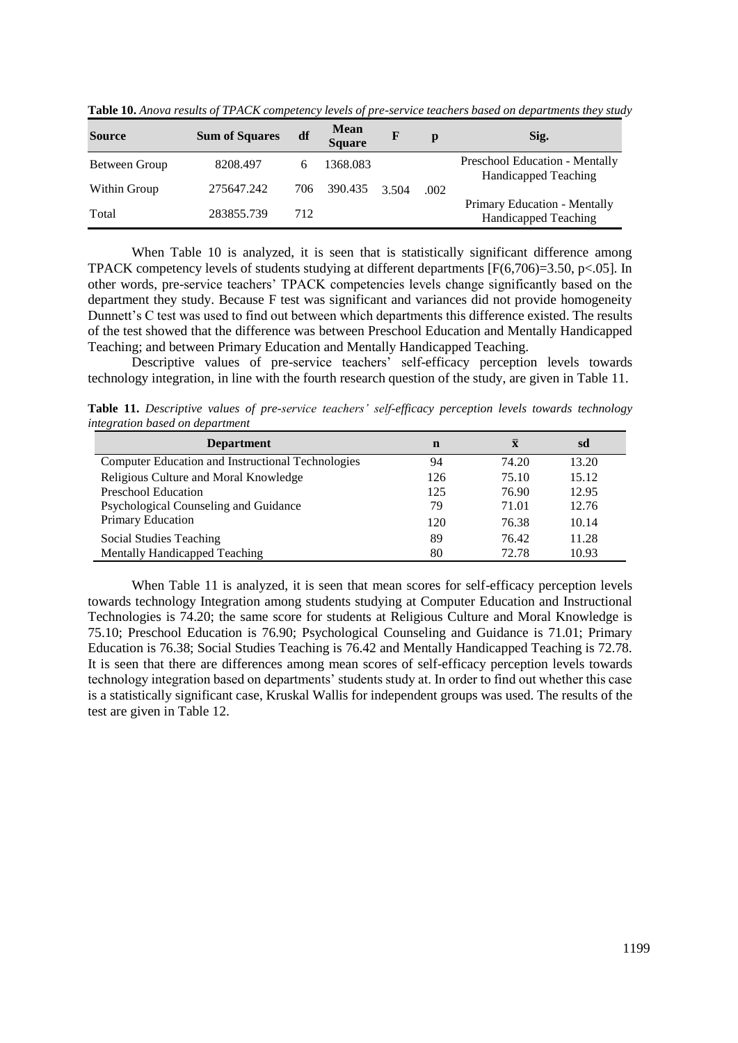| <b>Source</b> | <b>Sum of Squares</b> | df  | <b>Mean</b><br><b>Square</b> |       | p    | Sig.                                                          |
|---------------|-----------------------|-----|------------------------------|-------|------|---------------------------------------------------------------|
| Between Group | 8208.497              |     | 1368.083                     |       |      | Preschool Education - Mentally<br><b>Handicapped Teaching</b> |
| Within Group  | 275647.242            | 706 | 390.435                      | 3.504 | .002 |                                                               |
| Total         | 283855.739            | 712 |                              |       |      | Primary Education - Mentally<br><b>Handicapped Teaching</b>   |

**Table 10.** *Anova results of TPACK competency levels of pre-service teachers based on departments they study*

When Table 10 is analyzed, it is seen that is statistically significant difference among TPACK competency levels of students studying at different departments  $[F(6,706)=3.50, p<.05]$ . In other words, pre-service teachers' TPACK competencies levels change significantly based on the department they study. Because F test was significant and variances did not provide homogeneity Dunnett's C test was used to find out between which departments this difference existed. The results of the test showed that the difference was between Preschool Education and Mentally Handicapped Teaching; and between Primary Education and Mentally Handicapped Teaching.

Descriptive values of pre-service teachers' self-efficacy perception levels towards technology integration, in line with the fourth research question of the study, are given in Table 11.

**Table 11.** *Descriptive values of pre-service teachers' self-efficacy perception levels towards technology integration based on department* 

| <b>Department</b>                                 | n   | $\bar{\mathbf{x}}$ | sd    |
|---------------------------------------------------|-----|--------------------|-------|
| Computer Education and Instructional Technologies | 94  | 74.20              | 13.20 |
| Religious Culture and Moral Knowledge             | 126 | 75.10              | 15.12 |
| <b>Preschool Education</b>                        | 125 | 76.90              | 12.95 |
| Psychological Counseling and Guidance             | 79  | 71.01              | 12.76 |
| Primary Education                                 | 120 | 76.38              | 10.14 |
| Social Studies Teaching                           | 89  | 76.42              | 11.28 |
| Mentally Handicapped Teaching                     | 80  | 72.78              | 10.93 |

When Table 11 is analyzed, it is seen that mean scores for self-efficacy perception levels towards technology Integration among students studying at Computer Education and Instructional Technologies is 74.20; the same score for students at Religious Culture and Moral Knowledge is 75.10; Preschool Education is 76.90; Psychological Counseling and Guidance is 71.01; Primary Education is 76.38; Social Studies Teaching is 76.42 and Mentally Handicapped Teaching is 72.78. It is seen that there are differences among mean scores of self-efficacy perception levels towards technology integration based on departments' students study at. In order to find out whether this case is a statistically significant case, Kruskal Wallis for independent groups was used. The results of the test are given in Table 12.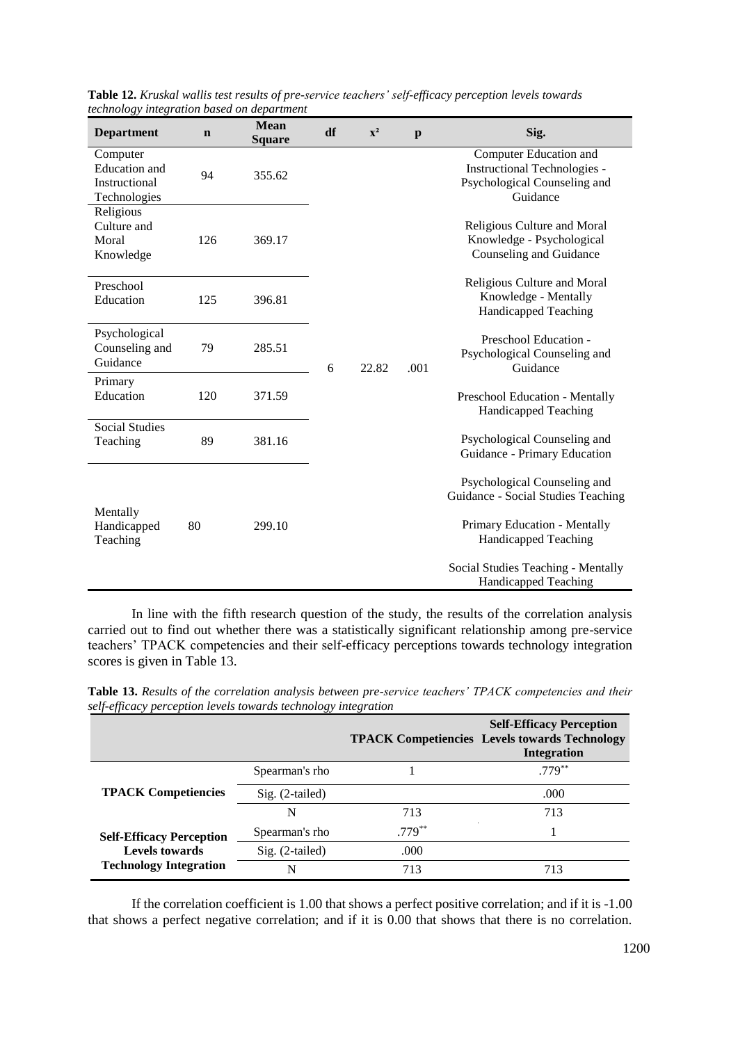| <b>Department</b>                                                 | $\mathbf n$ | <b>Mean</b><br><b>Square</b> | df | $\mathbf{x}^2$ | $\mathbf{p}$ | Sig.                                                                                                      |
|-------------------------------------------------------------------|-------------|------------------------------|----|----------------|--------------|-----------------------------------------------------------------------------------------------------------|
| Computer<br><b>Education</b> and<br>Instructional<br>Technologies | 94          | 355.62                       |    |                |              | Computer Education and<br><b>Instructional Technologies -</b><br>Psychological Counseling and<br>Guidance |
| Religious<br>Culture and<br>Moral<br>Knowledge                    | 126         | 369.17                       |    |                |              | Religious Culture and Moral<br>Knowledge - Psychological<br>Counseling and Guidance                       |
| Preschool<br>Education                                            | 125         | 396.81                       |    |                |              | Religious Culture and Moral<br>Knowledge - Mentally<br><b>Handicapped Teaching</b>                        |
| Psychological<br>Counseling and<br>Guidance                       | 79          | 285.51                       | 6  | 22.82          | .001         | Preschool Education -<br>Psychological Counseling and<br>Guidance                                         |
| Primary<br>Education                                              | 120         | 371.59                       |    |                |              | Preschool Education - Mentally<br>Handicapped Teaching                                                    |
| <b>Social Studies</b><br>Teaching                                 | 89          | 381.16                       |    |                |              | Psychological Counseling and<br>Guidance - Primary Education                                              |
| Mentally<br>Handicapped<br>Teaching                               | 80          |                              |    |                |              | Psychological Counseling and<br>Guidance - Social Studies Teaching                                        |
|                                                                   |             | 299.10                       |    |                |              | Primary Education - Mentally<br>Handicapped Teaching<br>Social Studies Teaching - Mentally                |
|                                                                   |             |                              |    |                |              | <b>Handicapped Teaching</b>                                                                               |

**Table 12.** *Kruskal wallis test results of pre-service teachers' self-efficacy perception levels towards technology integration based on department* 

In line with the fifth research question of the study, the results of the correlation analysis carried out to find out whether there was a statistically significant relationship among pre-service teachers' TPACK competencies and their self-efficacy perceptions towards technology integration scores is given in Table 13.

|                                 |                   |           | <b>Self-Efficacy Perception</b><br><b>TPACK Competiencies Levels towards Technology</b><br><b>Integration</b> |
|---------------------------------|-------------------|-----------|---------------------------------------------------------------------------------------------------------------|
|                                 | Spearman's rho    |           | $.779***$                                                                                                     |
| <b>TPACK Competiencies</b>      | $Sig. (2-tailed)$ |           | .000                                                                                                          |
|                                 | N                 | 713       | 713                                                                                                           |
| <b>Self-Efficacy Perception</b> | Spearman's rho    | $.779***$ |                                                                                                               |
| <b>Levels towards</b>           | $Sig. (2-tailed)$ | .000      |                                                                                                               |
| <b>Technology Integration</b>   | N                 | 713       | 713                                                                                                           |

**Table 13.** *Results of the correlation analysis between pre-service teachers' TPACK competencies and their self-efficacy perception levels towards technology integration*

If the correlation coefficient is 1.00 that shows a perfect positive correlation; and if it is -1.00 that shows a perfect negative correlation; and if it is 0.00 that shows that there is no correlation.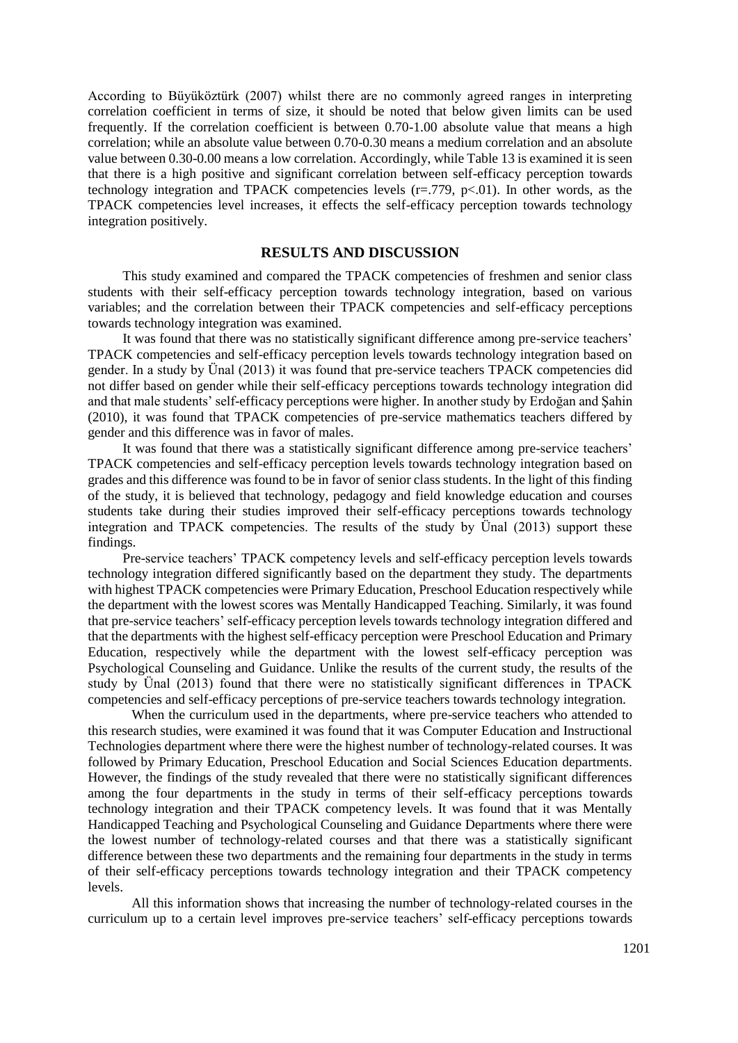According to Büyüköztürk (2007) whilst there are no commonly agreed ranges in interpreting correlation coefficient in terms of size, it should be noted that below given limits can be used frequently. If the correlation coefficient is between 0.70-1.00 absolute value that means a high correlation; while an absolute value between 0.70-0.30 means a medium correlation and an absolute value between 0.30-0.00 means a low correlation. Accordingly, while Table 13 is examined it is seen that there is a high positive and significant correlation between self-efficacy perception towards technology integration and TPACK competencies levels  $(r=.779, p<.01)$ . In other words, as the TPACK competencies level increases, it effects the self-efficacy perception towards technology integration positively.

## **RESULTS AND DISCUSSION**

This study examined and compared the TPACK competencies of freshmen and senior class students with their self-efficacy perception towards technology integration, based on various variables; and the correlation between their TPACK competencies and self-efficacy perceptions towards technology integration was examined.

It was found that there was no statistically significant difference among pre-service teachers' TPACK competencies and self-efficacy perception levels towards technology integration based on gender. In a study by Ünal (2013) it was found that pre-service teachers TPACK competencies did not differ based on gender while their self-efficacy perceptions towards technology integration did and that male students' self-efficacy perceptions were higher. In another study by Erdoğan and Şahin (2010), it was found that TPACK competencies of pre-service mathematics teachers differed by gender and this difference was in favor of males.

It was found that there was a statistically significant difference among pre-service teachers' TPACK competencies and self-efficacy perception levels towards technology integration based on grades and this difference was found to be in favor of senior class students. In the light of this finding of the study, it is believed that technology, pedagogy and field knowledge education and courses students take during their studies improved their self-efficacy perceptions towards technology integration and TPACK competencies. The results of the study by Ünal (2013) support these findings.

Pre-service teachers' TPACK competency levels and self-efficacy perception levels towards technology integration differed significantly based on the department they study. The departments with highest TPACK competencies were Primary Education, Preschool Education respectively while the department with the lowest scores was Mentally Handicapped Teaching. Similarly, it was found that pre-service teachers' self-efficacy perception levels towards technology integration differed and that the departments with the highest self-efficacy perception were Preschool Education and Primary Education, respectively while the department with the lowest self-efficacy perception was Psychological Counseling and Guidance. Unlike the results of the current study, the results of the study by Ünal (2013) found that there were no statistically significant differences in TPACK competencies and self-efficacy perceptions of pre-service teachers towards technology integration.

When the curriculum used in the departments, where pre-service teachers who attended to this research studies, were examined it was found that it was Computer Education and Instructional Technologies department where there were the highest number of technology-related courses. It was followed by Primary Education, Preschool Education and Social Sciences Education departments. However, the findings of the study revealed that there were no statistically significant differences among the four departments in the study in terms of their self-efficacy perceptions towards technology integration and their TPACK competency levels. It was found that it was Mentally Handicapped Teaching and Psychological Counseling and Guidance Departments where there were the lowest number of technology-related courses and that there was a statistically significant difference between these two departments and the remaining four departments in the study in terms of their self-efficacy perceptions towards technology integration and their TPACK competency levels.

All this information shows that increasing the number of technology-related courses in the curriculum up to a certain level improves pre-service teachers' self-efficacy perceptions towards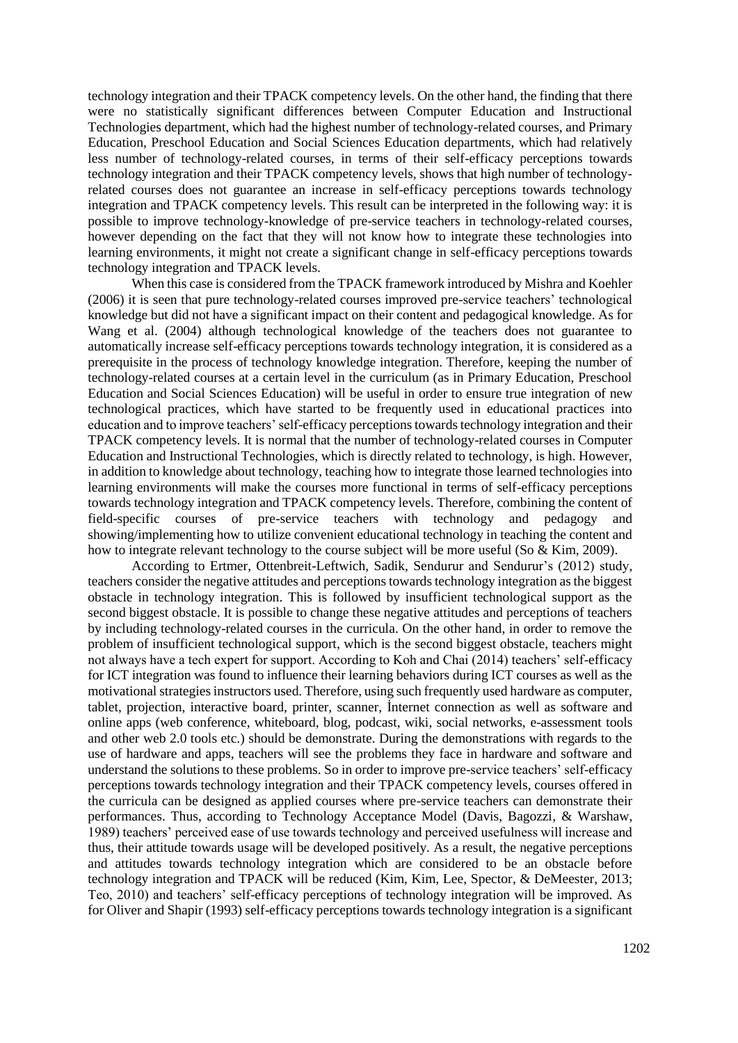technology integration and their TPACK competency levels. On the other hand, the finding that there were no statistically significant differences between Computer Education and Instructional Technologies department, which had the highest number of technology-related courses, and Primary Education, Preschool Education and Social Sciences Education departments, which had relatively less number of technology-related courses, in terms of their self-efficacy perceptions towards technology integration and their TPACK competency levels, shows that high number of technologyrelated courses does not guarantee an increase in self-efficacy perceptions towards technology integration and TPACK competency levels. This result can be interpreted in the following way: it is possible to improve technology-knowledge of pre-service teachers in technology-related courses, however depending on the fact that they will not know how to integrate these technologies into learning environments, it might not create a significant change in self-efficacy perceptions towards technology integration and TPACK levels.

When this case is considered from the TPACK framework introduced by Mishra and Koehler (2006) it is seen that pure technology-related courses improved pre-service teachers' technological knowledge but did not have a significant impact on their content and pedagogical knowledge. As for Wang et al. (2004) although technological knowledge of the teachers does not guarantee to automatically increase self-efficacy perceptions towards technology integration, it is considered as a prerequisite in the process of technology knowledge integration. Therefore, keeping the number of technology-related courses at a certain level in the curriculum (as in Primary Education, Preschool Education and Social Sciences Education) will be useful in order to ensure true integration of new technological practices, which have started to be frequently used in educational practices into education and to improve teachers' self-efficacy perceptions towards technology integration and their TPACK competency levels. It is normal that the number of technology-related courses in Computer Education and Instructional Technologies, which is directly related to technology, is high. However, in addition to knowledge about technology, teaching how to integrate those learned technologies into learning environments will make the courses more functional in terms of self-efficacy perceptions towards technology integration and TPACK competency levels. Therefore, combining the content of field-specific courses of pre-service teachers with technology and pedagogy and showing/implementing how to utilize convenient educational technology in teaching the content and how to integrate relevant technology to the course subject will be more useful (So & Kim, 2009).

According to Ertmer, Ottenbreit-Leftwich, Sadik, Sendurur and Sendurur's (2012) study, teachers consider the negative attitudes and perceptions towards technology integration as the biggest obstacle in technology integration. This is followed by insufficient technological support as the second biggest obstacle. It is possible to change these negative attitudes and perceptions of teachers by including technology-related courses in the curricula. On the other hand, in order to remove the problem of insufficient technological support, which is the second biggest obstacle, teachers might not always have a tech expert for support. According to Koh and Chai (2014) teachers' self-efficacy for ICT integration was found to influence their learning behaviors during ICT courses as well as the motivational strategies instructors used. Therefore, using such frequently used hardware as computer, tablet, projection, interactive board, printer, scanner, İnternet connection as well as software and online apps (web conference, whiteboard, blog, podcast, wiki, social networks, e-assessment tools and other web 2.0 tools etc.) should be demonstrate. During the demonstrations with regards to the use of hardware and apps, teachers will see the problems they face in hardware and software and understand the solutions to these problems. So in order to improve pre-service teachers' self-efficacy perceptions towards technology integration and their TPACK competency levels, courses offered in the curricula can be designed as applied courses where pre-service teachers can demonstrate their performances. Thus, according to Technology Acceptance Model (Davis, Bagozzi, & Warshaw, 1989) teachers' perceived ease of use towards technology and perceived usefulness will increase and thus, their attitude towards usage will be developed positively. As a result, the negative perceptions and attitudes towards technology integration which are considered to be an obstacle before technology integration and TPACK will be reduced (Kim, Kim, Lee, Spector, & DeMeester, 2013; Teo, 2010) and teachers' self-efficacy perceptions of technology integration will be improved. As for Oliver and Shapir (1993) self-efficacy perceptions towards technology integration is a significant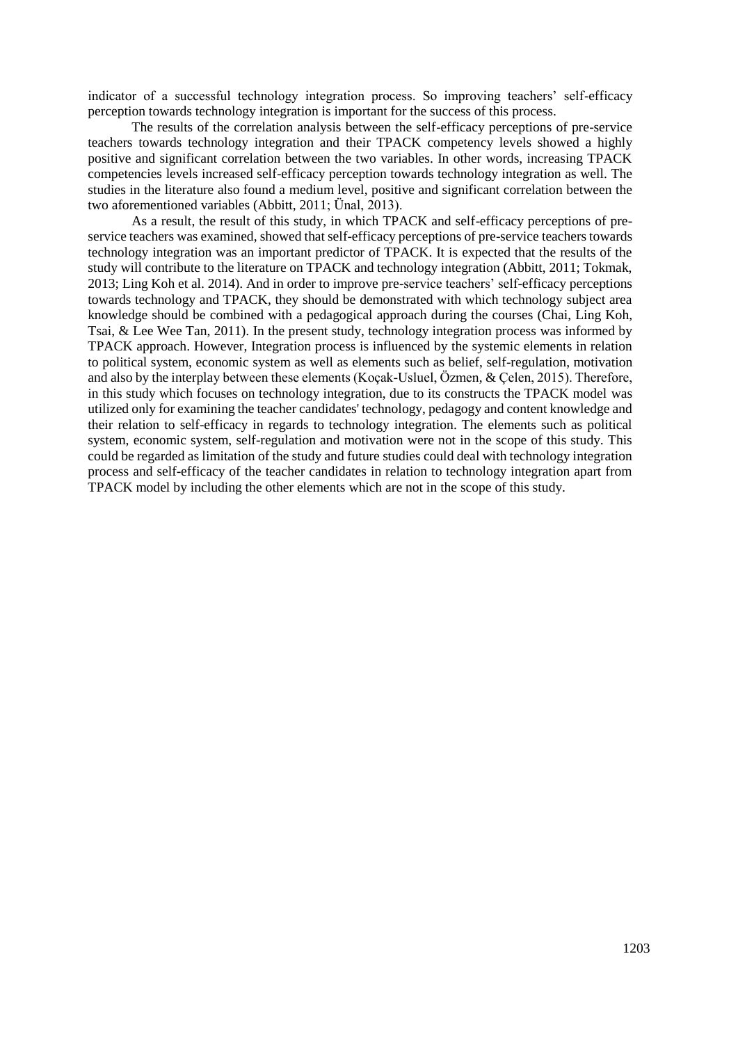indicator of a successful technology integration process. So improving teachers' self-efficacy perception towards technology integration is important for the success of this process.

The results of the correlation analysis between the self-efficacy perceptions of pre-service teachers towards technology integration and their TPACK competency levels showed a highly positive and significant correlation between the two variables. In other words, increasing TPACK competencies levels increased self-efficacy perception towards technology integration as well. The studies in the literature also found a medium level, positive and significant correlation between the two aforementioned variables (Abbitt, 2011; Ünal, 2013).

As a result, the result of this study, in which TPACK and self-efficacy perceptions of preservice teachers was examined, showed that self-efficacy perceptions of pre-service teachers towards technology integration was an important predictor of TPACK. It is expected that the results of the study will contribute to the literature on TPACK and technology integration (Abbitt, 2011; Tokmak, 2013; Ling Koh et al. 2014). And in order to improve pre-service teachers' self-efficacy perceptions towards technology and TPACK, they should be demonstrated with which technology subject area knowledge should be combined with a pedagogical approach during the courses (Chai, Ling Koh, Tsai, & Lee Wee Tan, 2011). In the present study, technology integration process was informed by TPACK approach. However, Integration process is influenced by the systemic elements in relation to political system, economic system as well as elements such as belief, self-regulation, motivation and also by the interplay between these elements (Koçak-Usluel, Özmen, & Çelen, 2015). Therefore, in this study which focuses on technology integration, due to its constructs the TPACK model was utilized only for examining the teacher candidates' technology, pedagogy and content knowledge and their relation to self-efficacy in regards to technology integration. The elements such as political system, economic system, self-regulation and motivation were not in the scope of this study. This could be regarded as limitation of the study and future studies could deal with technology integration process and self-efficacy of the teacher candidates in relation to technology integration apart from TPACK model by including the other elements which are not in the scope of this study.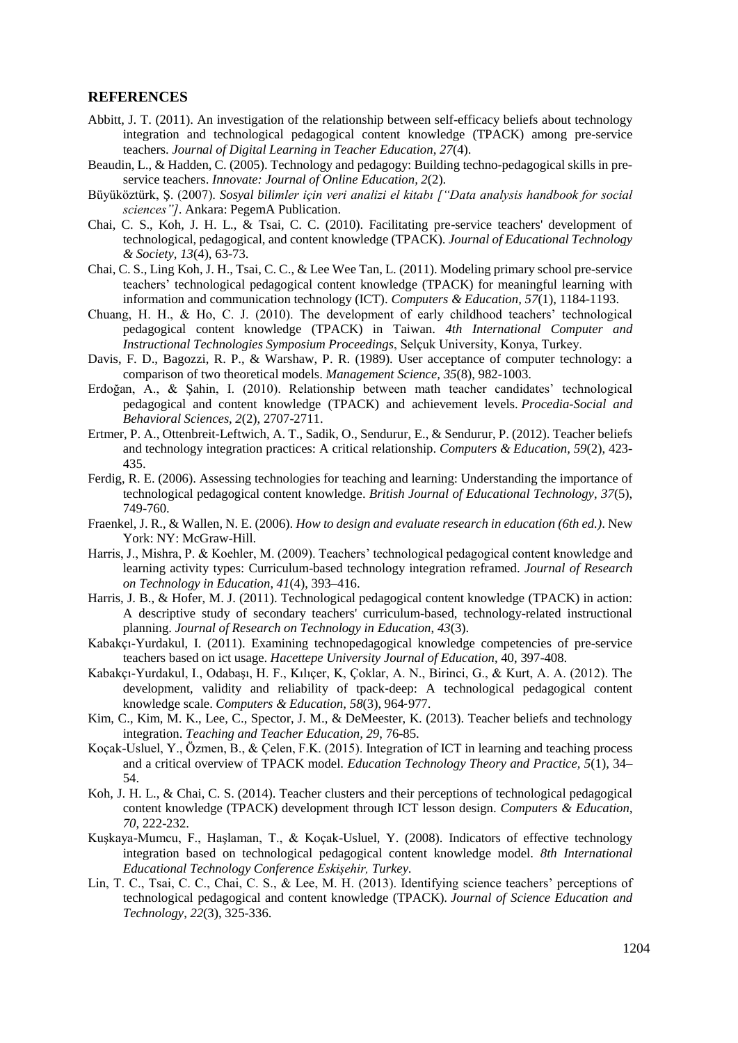### **REFERENCES**

- Abbitt, J. T. (2011). An investigation of the relationship between self-efficacy beliefs about technology integration and technological pedagogical content knowledge (TPACK) among pre-service teachers. *Journal of Digital Learning in Teacher Education*, *27*(4).
- Beaudin, L., & Hadden, C. (2005). Technology and pedagogy: Building techno-pedagogical skills in preservice teachers. *Innovate: Journal of Online Education, 2*(2).
- Büyüköztürk, Ş. (2007). *Sosyal bilimler için veri analizi el kitabı ["Data analysis handbook for social sciences"]*. Ankara: PegemA Publication.
- Chai, C. S., Koh, J. H. L., & Tsai, C. C. (2010). Facilitating pre-service teachers' development of technological, pedagogical, and content knowledge (TPACK). *Journal of Educational Technology & Society, 13*(4), 63-73.
- Chai, C. S., Ling Koh, J. H., Tsai, C. C., & Lee Wee Tan, L. (2011). Modeling primary school pre-service teachers' technological pedagogical content knowledge (TPACK) for meaningful learning with information and communication technology (ICT). *Computers & Education, 57*(1), 1184-1193.
- Chuang, H. H., & Ho, C. J. (2010). The development of early childhood teachers' technological pedagogical content knowledge (TPACK) in Taiwan. *4th International Computer and Instructional Technologies Symposium Proceedings*, Selçuk University, Konya, Turkey.
- Davis, F. D., Bagozzi, R. P., & Warshaw, P. R. (1989). User acceptance of computer technology: a comparison of two theoretical models. *Management Science, 35*(8), 982-1003.
- Erdoğan, A., & Şahin, I. (2010). Relationship between math teacher candidates' technological pedagogical and content knowledge (TPACK) and achievement levels. *Procedia-Social and Behavioral Sciences*, *2*(2), 2707-2711.
- Ertmer, P. A., Ottenbreit-Leftwich, A. T., Sadik, O., Sendurur, E., & Sendurur, P. (2012). Teacher beliefs and technology integration practices: A critical relationship. *Computers & Education, 59*(2), 423- 435.
- Ferdig, R. E. (2006). Assessing technologies for teaching and learning: Understanding the importance of technological pedagogical content knowledge. *British Journal of Educational Technology*, *37*(5), 749-760.
- Fraenkel, J. R., & Wallen, N. E. (2006). *How to design and evaluate research in education (6th ed.)*. New York: NY: McGraw-Hill.
- Harris, J., Mishra, P. & Koehler, M. (2009). Teachers' technological pedagogical content knowledge and learning activity types: Curriculum-based technology integration reframed. *Journal of Research on Technology in Education*, *41*(4), 393–416.
- Harris, J. B., & Hofer, M. J. (2011). Technological pedagogical content knowledge (TPACK) in action: A descriptive study of secondary teachers' curriculum-based, technology-related instructional planning. *Journal of Research on Technology in Education*, *43*(3).
- Kabakçı-Yurdakul, I. (2011). Examining technopedagogical knowledge competencies of pre-service teachers based on ict usage. *Hacettepe University Journal of Education*, 40, 397-408.
- Kabakçı-Yurdakul, I., Odabaşı, H. F., Kılıçer, K, Çoklar, A. N., Birinci, G., & Kurt, A. A. (2012). The development, validity and reliability of tpack‐deep: A technological pedagogical content knowledge scale. *Computers & Education, 58*(3), 964‐977.
- Kim, C., Kim, M. K., Lee, C., Spector, J. M., & DeMeester, K. (2013). Teacher beliefs and technology integration. *Teaching and Teacher Education, 29*, 76-85.
- Koçak-Usluel, Y., Özmen, B., & Çelen, F.K. (2015). Integration of ICT in learning and teaching process and a critical overview of TPACK model. *Education Technology Theory and Practice, 5*(1), 34– 54.
- Koh, J. H. L., & Chai, C. S. (2014). Teacher clusters and their perceptions of technological pedagogical content knowledge (TPACK) development through ICT lesson design. *Computers & Education, 70*, 222-232.
- Kuşkaya-Mumcu, F., Haşlaman, T., & Koçak-Usluel, Y. (2008). Indicators of effective technology integration based on technological pedagogical content knowledge model. *8th International Educational Technology Conference Eskişehir, Turkey*.
- Lin, T. C., Tsai, C. C., Chai, C. S., & Lee, M. H. (2013). Identifying science teachers' perceptions of technological pedagogical and content knowledge (TPACK). *Journal of Science Education and Technology*, *22*(3), 325-336.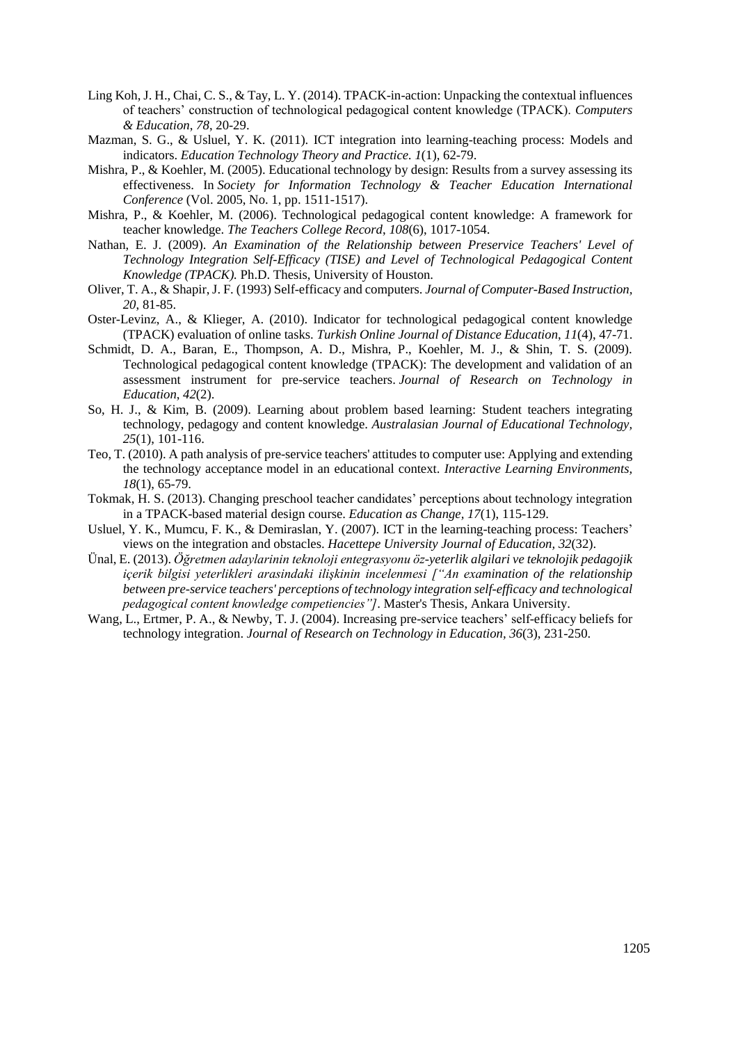- Ling Koh, J. H., Chai, C. S., & Tay, L. Y. (2014). TPACK-in-action: Unpacking the contextual influences of teachers' construction of technological pedagogical content knowledge (TPACK). *Computers & Education*, *78*, 20-29.
- Mazman, S. G., & Usluel, Y. K. (2011). ICT integration into learning-teaching process: Models and indicators. *Education Technology Theory and Practice. 1*(1), 62-79.
- Mishra, P., & Koehler, M. (2005). Educational technology by design: Results from a survey assessing its effectiveness. In *Society for Information Technology & Teacher Education International Conference* (Vol. 2005, No. 1, pp. 1511-1517).
- Mishra, P., & Koehler, M. (2006). Technological pedagogical content knowledge: A framework for teacher knowledge. *The Teachers College Record*, *108*(6), 1017-1054.
- Nathan, E. J. (2009). *An Examination of the Relationship between Preservice Teachers' Level of Technology Integration Self-Efficacy (TISE) and Level of Technological Pedagogical Content Knowledge (TPACK).* Ph.D. Thesis, University of Houston.
- Oliver, T. A., & Shapir, J. F. (1993) Self-efficacy and computers. *Journal of Computer-Based Instruction, 20*, 81-85.
- Oster-Levinz, A., & Klieger, A. (2010). Indicator for technological pedagogical content knowledge (TPACK) evaluation of online tasks. *Turkish Online Journal of Distance Education*, *11*(4), 47-71.
- Schmidt, D. A., Baran, E., Thompson, A. D., Mishra, P., Koehler, M. J., & Shin, T. S. (2009). Technological pedagogical content knowledge (TPACK): The development and validation of an assessment instrument for pre-service teachers. *Journal of Research on Technology in Education*, *42*(2).
- So, H. J., & Kim, B. (2009). Learning about problem based learning: Student teachers integrating technology, pedagogy and content knowledge. *Australasian Journal of Educational Technology, 25*(1), 101-116.
- Teo, T. (2010). A path analysis of pre-service teachers' attitudes to computer use: Applying and extending the technology acceptance model in an educational context. *Interactive Learning Environments, 18*(1), 65-79.
- Tokmak, H. S. (2013). Changing preschool teacher candidates' perceptions about technology integration in a TPACK-based material design course. *Education as Change, 17*(1), 115-129.
- Usluel, Y. K., Mumcu, F. K., & Demiraslan, Y. (2007). ICT in the learning-teaching process: Teachers' views on the integration and obstacles. *Hacettepe University Journal of Education, 32*(32).
- Ünal, E. (2013). *Öğretmen adaylarinin teknoloji entegrasyonu öz-yeterlik algilari ve teknolojik pedagojik içerik bilgisi yeterlikleri arasindaki ilişkinin incelenmesi ["An examination of the relationship between pre-service teachers' perceptions of technology integration self-efficacy and technological pedagogical content knowledge competiencies"]*. Master's Thesis, Ankara University.
- Wang, L., Ertmer, P. A., & Newby, T. J. (2004). Increasing pre-service teachers' self-efficacy beliefs for technology integration. *Journal of Research on Technology in Education, 36*(3), 231-250.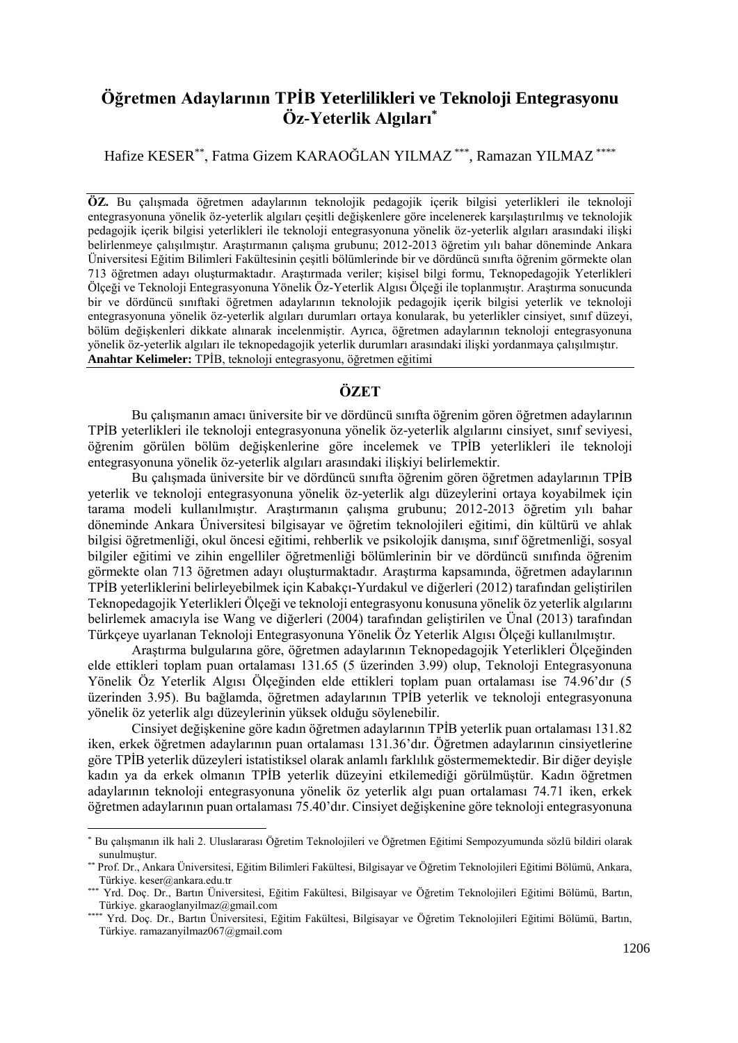# **Öğretmen Adaylarının TPİB Yeterlilikleri ve Teknoloji Entegrasyonu Öz-Yeterlik Algıları\***

Hafize KESER\*\*, Fatma Gizem KARAOĞLAN YILMAZ \*\*\*, Ramazan YILMAZ \*\*\*\*

**ÖZ.** Bu çalışmada öğretmen adaylarının teknolojik pedagojik içerik bilgisi yeterlikleri ile teknoloji entegrasyonuna yönelik öz-yeterlik algıları çeşitli değişkenlere göre incelenerek karşılaştırılmış ve teknolojik pedagojik içerik bilgisi yeterlikleri ile teknoloji entegrasyonuna yönelik öz-yeterlik algıları arasındaki ilişki belirlenmeye çalışılmıştır. Araştırmanın çalışma grubunu; 2012-2013 öğretim yılı bahar döneminde Ankara Üniversitesi Eğitim Bilimleri Fakültesinin çeşitli bölümlerinde bir ve dördüncü sınıfta öğrenim görmekte olan 713 öğretmen adayı oluşturmaktadır. Araştırmada veriler; kişisel bilgi formu, Teknopedagojik Yeterlikleri Ölçeği ve Teknoloji Entegrasyonuna Yönelik Öz-Yeterlik Algısı Ölçeği ile toplanmıştır. Araştırma sonucunda bir ve dördüncü sınıftaki öğretmen adaylarının teknolojik pedagojik içerik bilgisi yeterlik ve teknoloji entegrasyonuna yönelik öz-yeterlik algıları durumları ortaya konularak, bu yeterlikler cinsiyet, sınıf düzeyi, bölüm değişkenleri dikkate alınarak incelenmiştir. Ayrıca, öğretmen adaylarının teknoloji entegrasyonuna yönelik öz-yeterlik algıları ile teknopedagojik yeterlik durumları arasındaki ilişki yordanmaya çalışılmıştır. **Anahtar Kelimeler:** TPİB, teknoloji entegrasyonu, öğretmen eğitimi

## **ÖZET**

Bu çalışmanın amacı üniversite bir ve dördüncü sınıfta öğrenim gören öğretmen adaylarının TPİB yeterlikleri ile teknoloji entegrasyonuna yönelik öz-yeterlik algılarını cinsiyet, sınıf seviyesi, öğrenim görülen bölüm değişkenlerine göre incelemek ve TPİB yeterlikleri ile teknoloji entegrasyonuna yönelik öz-yeterlik algıları arasındaki ilişkiyi belirlemektir.

Bu çalışmada üniversite bir ve dördüncü sınıfta öğrenim gören öğretmen adaylarının TPİB yeterlik ve teknoloji entegrasyonuna yönelik öz-yeterlik algı düzeylerini ortaya koyabilmek için tarama modeli kullanılmıştır. Araştırmanın çalışma grubunu; 2012-2013 öğretim yılı bahar döneminde Ankara Üniversitesi bilgisayar ve öğretim teknolojileri eğitimi, din kültürü ve ahlak bilgisi öğretmenliği, okul öncesi eğitimi, rehberlik ve psikolojik danışma, sınıf öğretmenliği, sosyal bilgiler eğitimi ve zihin engelliler öğretmenliği bölümlerinin bir ve dördüncü sınıfında öğrenim görmekte olan 713 öğretmen adayı oluşturmaktadır. Araştırma kapsamında, öğretmen adaylarının TPİB yeterliklerini belirleyebilmek için Kabakçı-Yurdakul ve diğerleri (2012) tarafından geliştirilen Teknopedagojik Yeterlikleri Ölçeği ve teknoloji entegrasyonu konusuna yönelik öz yeterlik algılarını belirlemek amacıyla ise Wang ve diğerleri (2004) tarafından geliştirilen ve Ünal (2013) tarafından Türkçeye uyarlanan Teknoloji Entegrasyonuna Yönelik Öz Yeterlik Algısı Ölçeği kullanılmıştır.

Araştırma bulgularına göre, öğretmen adaylarının Teknopedagojik Yeterlikleri Ölçeğinden elde ettikleri toplam puan ortalaması 131.65 (5 üzerinden 3.99) olup, Teknoloji Entegrasyonuna Yönelik Öz Yeterlik Algısı Ölçeğinden elde ettikleri toplam puan ortalaması ise 74.96'dır (5 üzerinden 3.95). Bu bağlamda, öğretmen adaylarının TPİB yeterlik ve teknoloji entegrasyonuna yönelik öz yeterlik algı düzeylerinin yüksek olduğu söylenebilir.

Cinsiyet değişkenine göre kadın öğretmen adaylarının TPİB yeterlik puan ortalaması 131.82 iken, erkek öğretmen adaylarının puan ortalaması 131.36'dır. Öğretmen adaylarının cinsiyetlerine göre TPİB yeterlik düzeyleri istatistiksel olarak anlamlı farklılık göstermemektedir. Bir diğer deyişle kadın ya da erkek olmanın TPİB yeterlik düzeyini etkilemediği görülmüştür. Kadın öğretmen adaylarının teknoloji entegrasyonuna yönelik öz yeterlik algı puan ortalaması 74.71 iken, erkek öğretmen adaylarının puan ortalaması 75.40'dır. Cinsiyet değişkenine göre teknoloji entegrasyonuna

l

<sup>\*</sup> Bu çalışmanın ilk hali 2. Uluslararası Öğretim Teknolojileri ve Öğretmen Eğitimi Sempozyumunda sözlü bildiri olarak sunulmuştur.

<sup>\*\*</sup> Prof. Dr., Ankara Üniversitesi, Eğitim Bilimleri Fakültesi, Bilgisayar ve Öğretim Teknolojileri Eğitimi Bölümü, Ankara, Türkiye. keser@ankara.edu.tr

<sup>\*\*\*</sup> Yrd. Doç. Dr., Bartın Üniversitesi, Eğitim Fakültesi, Bilgisayar ve Öğretim Teknolojileri Eğitimi Bölümü, Bartın, Türkiye. gkaraoglanyilmaz@gmail.com

<sup>\*\*\*\*</sup> Yrd. Doç. Dr., Bartın Üniversitesi, Eğitim Fakültesi, Bilgisayar ve Öğretim Teknolojileri Eğitimi Bölümü, Bartın, Türkiye. ramazanyilmaz067@gmail.com